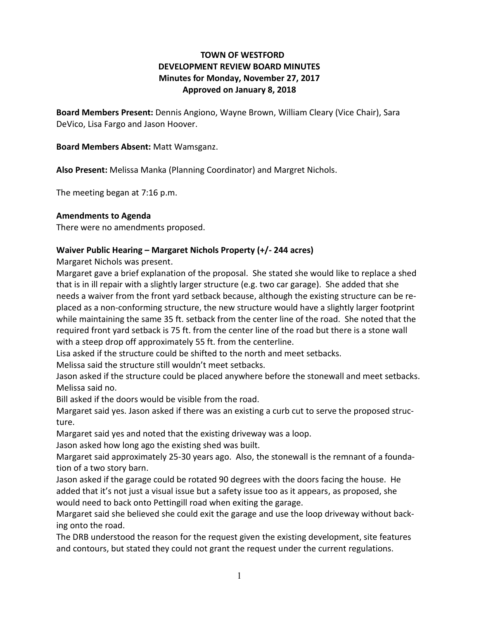# **TOWN OF WESTFORD DEVELOPMENT REVIEW BOARD MINUTES Minutes for Monday, November 27, 2017 Approved on January 8, 2018**

**Board Members Present:** Dennis Angiono, Wayne Brown, William Cleary (Vice Chair), Sara DeVico, Lisa Fargo and Jason Hoover.

## **Board Members Absent:** Matt Wamsganz.

**Also Present:** Melissa Manka (Planning Coordinator) and Margret Nichols.

The meeting began at 7:16 p.m.

## **Amendments to Agenda**

There were no amendments proposed.

## **Waiver Public Hearing – Margaret Nichols Property (+/- 244 acres)**

Margaret Nichols was present.

Margaret gave a brief explanation of the proposal. She stated she would like to replace a shed that is in ill repair with a slightly larger structure (e.g. two car garage). She added that she needs a waiver from the front yard setback because, although the existing structure can be replaced as a non-conforming structure, the new structure would have a slightly larger footprint while maintaining the same 35 ft. setback from the center line of the road. She noted that the required front yard setback is 75 ft. from the center line of the road but there is a stone wall with a steep drop off approximately 55 ft. from the centerline.

Lisa asked if the structure could be shifted to the north and meet setbacks.

Melissa said the structure still wouldn't meet setbacks.

Jason asked if the structure could be placed anywhere before the stonewall and meet setbacks. Melissa said no.

Bill asked if the doors would be visible from the road.

Margaret said yes. Jason asked if there was an existing a curb cut to serve the proposed structure.

Margaret said yes and noted that the existing driveway was a loop.

Jason asked how long ago the existing shed was built.

Margaret said approximately 25-30 years ago. Also, the stonewall is the remnant of a foundation of a two story barn.

Jason asked if the garage could be rotated 90 degrees with the doors facing the house. He added that it's not just a visual issue but a safety issue too as it appears, as proposed, she would need to back onto Pettingill road when exiting the garage.

Margaret said she believed she could exit the garage and use the loop driveway without backing onto the road.

The DRB understood the reason for the request given the existing development, site features and contours, but stated they could not grant the request under the current regulations.